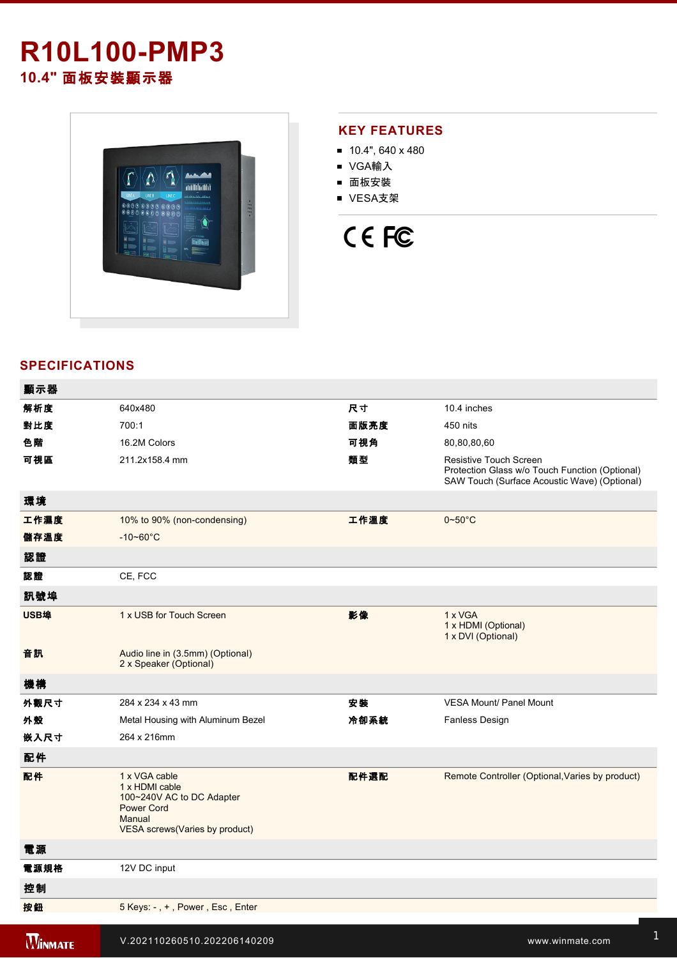## **R10L100-PMP3 10.4"** 面板安裝顯示器



#### **KEY FEATURES**

- $10.4$ ", 640 x 480
- VGA輸入
- 面板安裝
- VESA支架

# CE FC

#### **SPECIFICATIONS**

| 顯示器            |                                                                                                                                |      |                                                                                                                          |
|----------------|--------------------------------------------------------------------------------------------------------------------------------|------|--------------------------------------------------------------------------------------------------------------------------|
| 解析度            | 640x480                                                                                                                        | 尺寸   | 10.4 inches                                                                                                              |
| 對比度            | 700:1                                                                                                                          | 面版亮度 | 450 nits                                                                                                                 |
| 色階             | 16.2M Colors                                                                                                                   | 可視角  | 80,80,80,60                                                                                                              |
| 可視區            | 211.2x158.4 mm                                                                                                                 | 類型   | Resistive Touch Screen<br>Protection Glass w/o Touch Function (Optional)<br>SAW Touch (Surface Acoustic Wave) (Optional) |
| 環境             |                                                                                                                                |      |                                                                                                                          |
| 工作濕度           | 10% to 90% (non-condensing)                                                                                                    | 工作溫度 | $0 - 50^{\circ}$ C                                                                                                       |
| 儲存溫度           | $-10 - 60^{\circ}$ C                                                                                                           |      |                                                                                                                          |
| 認證             |                                                                                                                                |      |                                                                                                                          |
| 認證             | CE, FCC                                                                                                                        |      |                                                                                                                          |
| 訊號埠            |                                                                                                                                |      |                                                                                                                          |
| USB埠           | 1 x USB for Touch Screen                                                                                                       | 影像   | 1 x VGA<br>1 x HDMI (Optional)<br>1 x DVI (Optional)                                                                     |
| 音訊             | Audio line in (3.5mm) (Optional)<br>2 x Speaker (Optional)                                                                     |      |                                                                                                                          |
| 機構             |                                                                                                                                |      |                                                                                                                          |
| 外觀尺寸           | 284 x 234 x 43 mm                                                                                                              | 安装   | <b>VESA Mount/ Panel Mount</b>                                                                                           |
| 外殼             | Metal Housing with Aluminum Bezel                                                                                              | 冷卻系統 | Fanless Design                                                                                                           |
| 嵌入尺寸           | 264 x 216mm                                                                                                                    |      |                                                                                                                          |
| 配件             |                                                                                                                                |      |                                                                                                                          |
| 配件             | 1 x VGA cable<br>1 x HDMI cable<br>100~240V AC to DC Adapter<br><b>Power Cord</b><br>Manual<br>VESA screws (Varies by product) | 配件選配 | Remote Controller (Optional, Varies by product)                                                                          |
| 電源             |                                                                                                                                |      |                                                                                                                          |
| 電源規格           | 12V DC input                                                                                                                   |      |                                                                                                                          |
| 控制             |                                                                                                                                |      |                                                                                                                          |
| 按鈕             | 5 Keys: -, +, Power, Esc, Enter                                                                                                |      |                                                                                                                          |
| <b>WINMATE</b> | V.202110260510.202206140209                                                                                                    |      | www.winmate.com                                                                                                          |